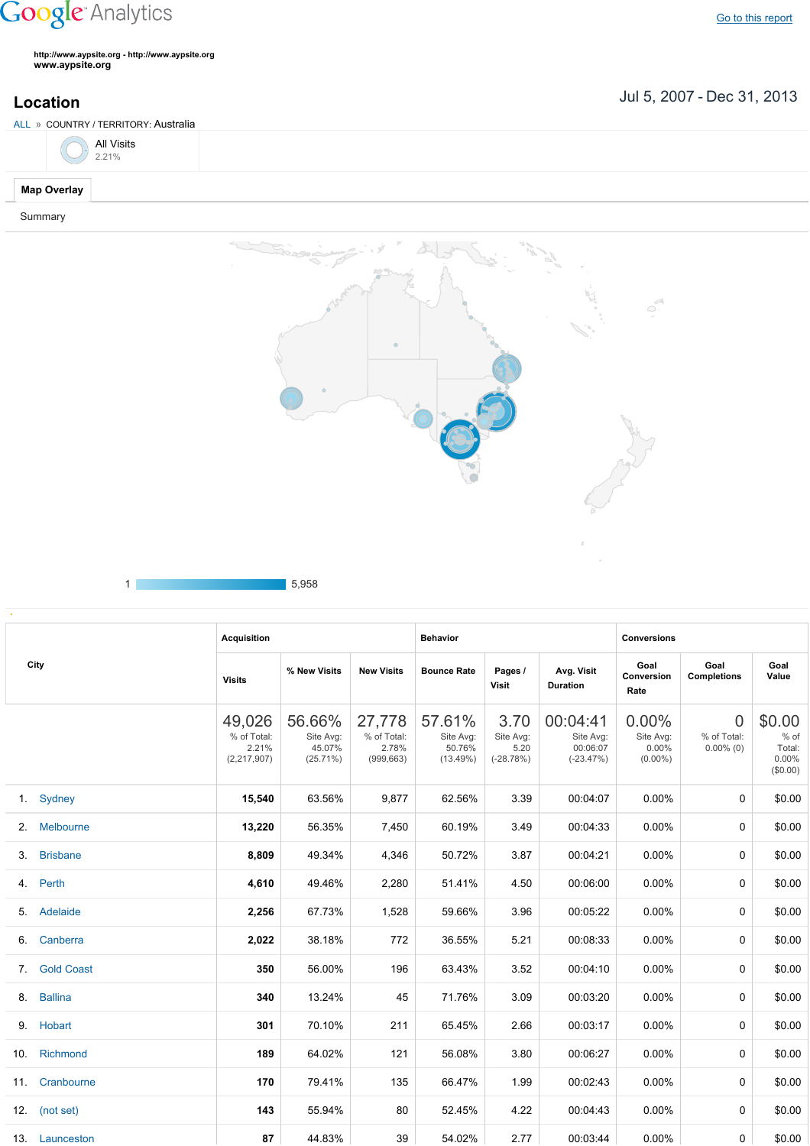## **Google** Analytics

**http://www.aypsite.org http://www.aypsite.org www.aypsite.org**

**Location** Jul 5, 2007 - Dec 31, 2013

|         | ALL » COUNTRY / TERRITORY: Australia |  |  |  |  |  |  |  |
|---------|--------------------------------------|--|--|--|--|--|--|--|
|         | All Visits<br>2.21%                  |  |  |  |  |  |  |  |
|         | Map Overlay                          |  |  |  |  |  |  |  |
| Summary |                                      |  |  |  |  |  |  |  |



$$
1 \qquad \qquad 1 \qquad 5,958
$$

|    | City            | <b>Acquisition</b>                            |                                              |                                              | <b>Behavior</b>                           |                                          |                                                  | <b>Conversions</b>                              |                                               |                                                  |
|----|-----------------|-----------------------------------------------|----------------------------------------------|----------------------------------------------|-------------------------------------------|------------------------------------------|--------------------------------------------------|-------------------------------------------------|-----------------------------------------------|--------------------------------------------------|
|    |                 | <b>Visits</b>                                 | % New Visits                                 | <b>New Visits</b>                            | <b>Bounce Rate</b>                        | Pages /<br>Visit                         | Avg. Visit<br><b>Duration</b>                    | Goal<br>Conversion<br>Rate                      | Goal<br><b>Completions</b>                    | Goal<br>Value                                    |
|    |                 | 49,026<br>% of Total:<br>2.21%<br>(2,217,907) | 56.66%<br>Site Avg:<br>45.07%<br>$(25.71\%)$ | 27,778<br>% of Total:<br>2.78%<br>(999, 663) | 57.61%<br>Site Avg:<br>50.76%<br>(13.49%) | 3.70<br>Site Avg:<br>5.20<br>$(-28.78%)$ | 00:04:41<br>Site Avg:<br>00:06:07<br>$(-23.47%)$ | $0.00\%$<br>Site Avg:<br>$0.00\%$<br>$(0.00\%)$ | $\overline{0}$<br>% of Total:<br>$0.00\%$ (0) | \$0.00<br>% of<br>Total:<br>$0.00\%$<br>(\$0.00) |
|    | 1. Sydney       | 15,540                                        | 63.56%                                       | 9,877                                        | 62.56%                                    | 3.39                                     | 00:04:07                                         | $0.00\%$                                        | $\Omega$                                      | \$0.00                                           |
|    | 2. Melbourne    | 13,220                                        | 56.35%                                       | 7,450                                        | 60.19%                                    | 3.49                                     | 00:04:33                                         | $0.00\%$                                        | 0                                             | \$0.00                                           |
| 3. | <b>Brisbane</b> | 8,809                                         | 49.34%                                       | 4,346                                        | 50.72%                                    | 3.87                                     | 00:04:21                                         | $0.00\%$                                        | 0                                             | \$0.00                                           |
|    | 4. Perth        | 4,610                                         | 49.46%                                       | 2,280                                        | 51.41%                                    | 4.50                                     | 00:06:00                                         | $0.00\%$                                        | 0                                             | \$0.00                                           |
|    | 5. Adelaide     | 2,256                                         | 67.73%                                       | 1,528                                        | 59.66%                                    | 3.96                                     | 00:05:22                                         | $0.00\%$                                        | 0                                             | \$0.00                                           |
|    | 6. Canberra     | 2,022                                         | 38.18%                                       | 772                                          | 36.55%                                    | 5.21                                     | 00:08:33                                         | $0.00\%$                                        | 0                                             | \$0.00                                           |
|    | 7. Gold Coast   | 350                                           | 56.00%                                       | 196                                          | 63.43%                                    | 3.52                                     | 00:04:10                                         | $0.00\%$                                        | 0                                             | \$0.00                                           |
|    | 8. Ballina      | 340                                           | 13.24%                                       | 45                                           | 71.76%                                    | 3.09                                     | 00:03:20                                         | $0.00\%$                                        | 0                                             | \$0.00                                           |
|    | 9. Hobart       | 301                                           | 70.10%                                       | 211                                          | 65.45%                                    | 2.66                                     | 00:03:17                                         | $0.00\%$                                        | 0                                             | \$0.00                                           |
|    | 10. Richmond    | 189                                           | 64.02%                                       | 121                                          | 56.08%                                    | 3.80                                     | 00:06:27                                         | $0.00\%$                                        | 0                                             | \$0.00                                           |
|    | 11. Cranbourne  | 170                                           | 79.41%                                       | 135                                          | 66.47%                                    | 1.99                                     | 00:02:43                                         | $0.00\%$                                        | 0                                             | \$0.00                                           |
|    | 12. $(not set)$ | 143                                           | 55.94%                                       | 80                                           | 52.45%                                    | 4.22                                     | 00:04:43                                         | $0.00\%$                                        | $\mathbf{0}$                                  | \$0.00                                           |
|    | 13. Launceston  | 87                                            | 44.83%                                       | 39                                           | 54.02%                                    | 2.77                                     | 00:03:44                                         | $0.00\%$                                        | 0                                             | \$0.00                                           |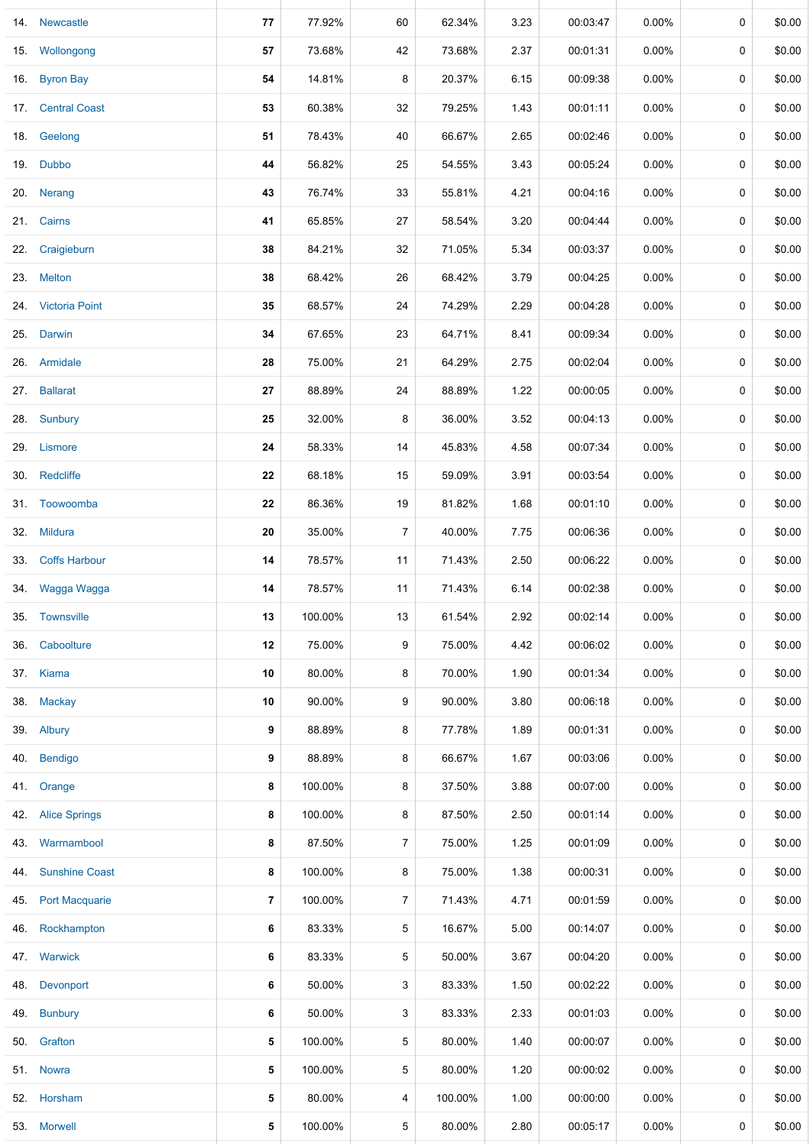|     | 14. Newcastle         | 77             | 77.92%  | 60             | 62.34%  | 3.23 | 00:03:47 | 0.00%    | 0           | \$0.00 |
|-----|-----------------------|----------------|---------|----------------|---------|------|----------|----------|-------------|--------|
|     | 15. Wollongong        | 57             | 73.68%  | 42             | 73.68%  | 2.37 | 00:01:31 | $0.00\%$ | 0           | \$0.00 |
|     | 16. Byron Bay         | 54             | 14.81%  | 8              | 20.37%  | 6.15 | 00:09:38 | 0.00%    | 0           | \$0.00 |
|     | 17. Central Coast     | 53             | 60.38%  | 32             | 79.25%  | 1.43 | 00:01:11 | 0.00%    | 0           | \$0.00 |
|     | 18. Geelong           | 51             | 78.43%  | 40             | 66.67%  | 2.65 | 00:02:46 | 0.00%    | $\mathbf 0$ | \$0.00 |
|     | 19. Dubbo             | 44             | 56.82%  | 25             | 54.55%  | 3.43 | 00:05:24 | 0.00%    | 0           | \$0.00 |
|     | 20. Nerang            | 43             | 76.74%  | 33             | 55.81%  | 4.21 | 00:04:16 | 0.00%    | 0           | \$0.00 |
|     | 21. Cairns            | 41             | 65.85%  | 27             | 58.54%  | 3.20 | 00:04:44 | $0.00\%$ | 0           | \$0.00 |
|     | 22. Craigieburn       | 38             | 84.21%  | 32             | 71.05%  | 5.34 | 00:03:37 | 0.00%    | 0           | \$0.00 |
|     | 23. Melton            | ${\bf 38}$     | 68.42%  | 26             | 68.42%  | 3.79 | 00:04:25 | 0.00%    | 0           | \$0.00 |
|     | 24. Victoria Point    | 35             | 68.57%  | 24             | 74.29%  | 2.29 | 00:04:28 | $0.00\%$ | 0           | \$0.00 |
| 25. | Darwin                | 34             | 67.65%  | 23             | 64.71%  | 8.41 | 00:09:34 | $0.00\%$ | 0           | \$0.00 |
|     | 26. Armidale          | 28             | 75.00%  | 21             | 64.29%  | 2.75 | 00:02:04 | $0.00\%$ | 0           | \$0.00 |
|     | 27. Ballarat          | 27             | 88.89%  | 24             | 88.89%  | 1.22 | 00:00:05 | 0.00%    | 0           | \$0.00 |
|     | 28. Sunbury           | 25             | 32.00%  | 8              | 36.00%  | 3.52 | 00:04:13 | $0.00\%$ | 0           | \$0.00 |
|     | 29. Lismore           | ${\bf 24}$     | 58.33%  | 14             | 45.83%  | 4.58 | 00:07:34 | 0.00%    | 0           | \$0.00 |
|     | 30. Redcliffe         | 22             | 68.18%  | 15             | 59.09%  | 3.91 | 00:03:54 | $0.00\%$ | 0           | \$0.00 |
|     | 31. Toowoomba         | ${\bf 22}$     | 86.36%  | 19             | 81.82%  | 1.68 | 00:01:10 | 0.00%    | 0           | \$0.00 |
|     | 32. Mildura           | 20             | 35.00%  | $\overline{7}$ | 40.00%  | 7.75 | 00:06:36 | $0.00\%$ | 0           | \$0.00 |
|     | 33. Coffs Harbour     | 14             | 78.57%  | 11             | 71.43%  | 2.50 | 00:06:22 | 0.00%    | $\mathbf 0$ | \$0.00 |
|     | 34. Wagga Wagga       | 14             | 78.57%  | 11             | 71.43%  | 6.14 | 00:02:38 | $0.00\%$ | 0           | \$0.00 |
|     | 35. Townsville        | 13             | 100.00% | 13             | 61.54%  | 2.92 | 00:02:14 | $0.00\%$ | 0           | \$0.00 |
| 36. | Caboolture            | 12             | 75.00%  | 9              | 75.00%  | 4.42 | 00:06:02 | $0.00\%$ | 0           | \$0.00 |
|     | 37. Kiama             | 10             | 80.00%  | 8              | 70.00%  | 1.90 | 00:01:34 | $0.00\%$ | 0           | \$0.00 |
| 38. | <b>Mackay</b>         | 10             | 90.00%  | 9              | 90.00%  | 3.80 | 00:06:18 | 0.00%    | $\mathbf 0$ | \$0.00 |
|     | 39. Albury            | 9              | 88.89%  | 8              | 77.78%  | 1.89 | 00:01:31 | $0.00\%$ | 0           | \$0.00 |
| 40. | <b>Bendigo</b>        | 9              | 88.89%  | 8              | 66.67%  | 1.67 | 00:03:06 | 0.00%    | 0           | \$0.00 |
|     | 41. Orange            | 8              | 100.00% | 8              | 37.50%  | 3.88 | 00:07:00 | $0.00\%$ | 0           | \$0.00 |
|     | 42. Alice Springs     | 8              | 100.00% | 8              | 87.50%  | 2.50 | 00:01:14 | $0.00\%$ | 0           | \$0.00 |
|     | 43. Warrnambool       | 8              | 87.50%  | $\overline{7}$ | 75.00%  | 1.25 | 00:01:09 | $0.00\%$ | 0           | \$0.00 |
| 44. | <b>Sunshine Coast</b> | 8              | 100.00% | 8              | 75.00%  | 1.38 | 00:00:31 | $0.00\%$ | 0           | \$0.00 |
| 45. | <b>Port Macquarie</b> | $\overline{7}$ | 100.00% | $\overline{7}$ | 71.43%  | 4.71 | 00:01:59 | $0.00\%$ | 0           | \$0.00 |
| 46. | Rockhampton           | 6              | 83.33%  | 5              | 16.67%  | 5.00 | 00:14:07 | $0.00\%$ | $\mathbf 0$ | \$0.00 |
|     | 47. Warwick           | 6              | 83.33%  | 5              | 50.00%  | 3.67 | 00:04:20 | $0.00\%$ | 0           | \$0.00 |
| 48. | Devonport             | 6              | 50.00%  | 3              | 83.33%  | 1.50 | 00:02:22 | $0.00\%$ | 0           | \$0.00 |
| 49. | <b>Bunbury</b>        | 6              | 50.00%  | 3              | 83.33%  | 2.33 | 00:01:03 | $0.00\%$ | 0           | \$0.00 |
|     | 50. Grafton           | 5              | 100.00% | 5              | 80.00%  | 1.40 | 00:00:07 | $0.00\%$ | 0           | \$0.00 |
|     | 51. Nowra             | 5              | 100.00% | 5              | 80.00%  | 1.20 | 00:00:02 | $0.00\%$ | 0           | \$0.00 |
|     | 52. Horsham           | 5              | 80.00%  | 4              | 100.00% | 1.00 | 00:00:00 | $0.00\%$ | 0           | \$0.00 |
|     | 53. Morwell           | 5              | 100.00% | 5              | 80.00%  | 2.80 | 00:05:17 | 0.00%    | 0           | \$0.00 |